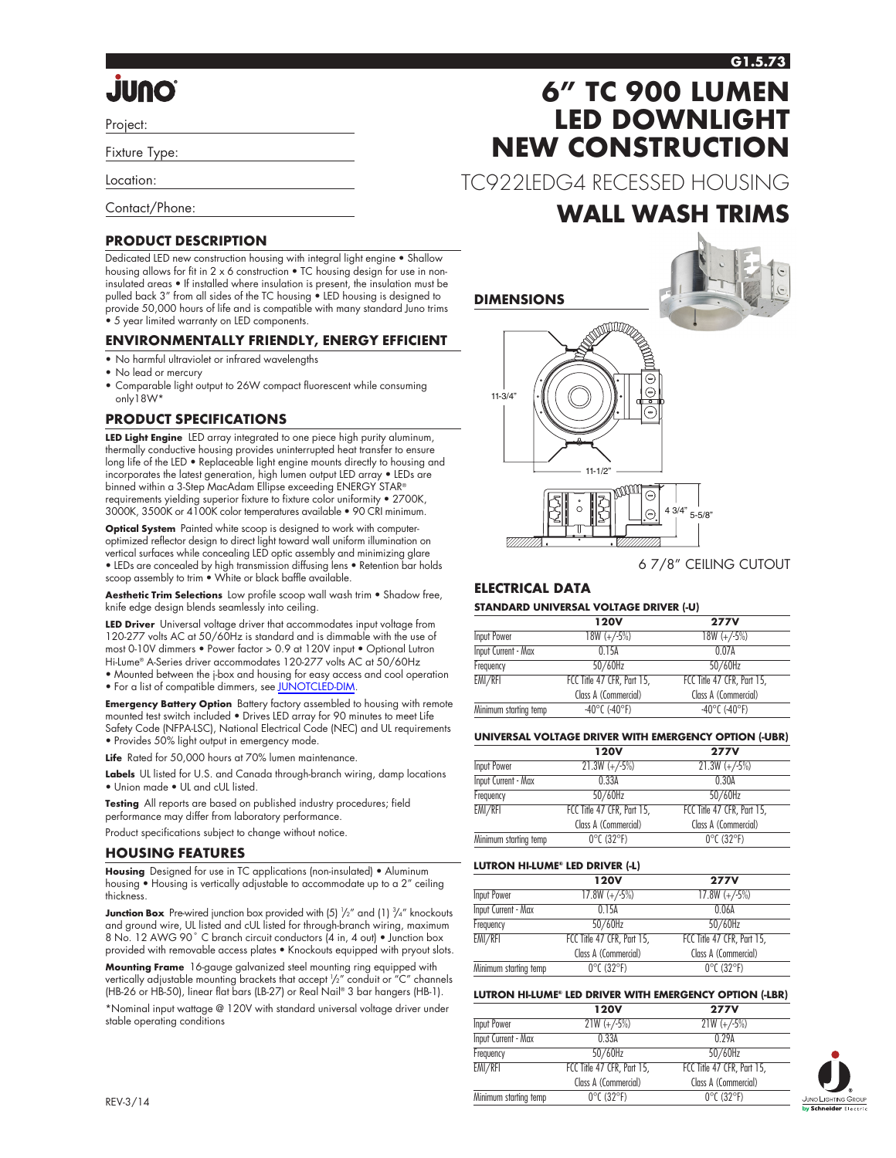#### **G1.5.73**

# **Onul.**

Project:

Fixture Type:

Location:

Contact/Phone:

#### **PRODUCT DESCRIPTION**

Dedicated LED new construction housing with integral light engine • Shallow housing allows for fit in 2 x 6 construction • TC housing design for use in noninsulated areas • If installed where insulation is present, the insulation must be pulled back 3" from all sides of the TC housing • LED housing is designed to provide 50,000 hours of life and is compatible with many standard Juno trims • 5 year limited warranty on LED components.

#### **ENVIRONMENTALLY FRIENDLY, ENERGY EFFICIENT**

- No harmful ultraviolet or infrared wavelengths
- No lead or mercury
- Comparable light output to 26W compact fluorescent while consuming only18W\*

#### **PRODUCT SPECIFICATIONS**

**LED Light Engine** LED array integrated to one piece high purity aluminum, thermally conductive housing provides uninterrupted heat transfer to ensure long life of the LED • Replaceable light engine mounts directly to housing and incorporates the latest generation, high lumen output LED array • LEDs are binned within a 3-Step MacAdam Ellipse exceeding ENERGY STAR® requirements yielding superior fixture to fixture color uniformity • 2700K, 3000K, 3500K or 4100K color temperatures available • 90 CRI minimum.

**Optical System** Painted white scoop is designed to work with computeroptimized reflector design to direct light toward wall uniform illumination on vertical surfaces while concealing LED optic assembly and minimizing glare • LEDs are concealed by high transmission diffusing lens • Retention bar holds scoop assembly to trim • White or black baffle available.

**Aesthetic Trim Selections** Low profile scoop wall wash trim • Shadow free, knife edge design blends seamlessly into ceiling.

**LED Driver** Universal voltage driver that accommodates input voltage from 120-277 volts AC at 50/60Hz is standard and is dimmable with the use of most 0-10V dimmers • Power factor > 0.9 at 120V input • Optional Lutron Hi-Lume® A-Series driver accommodates 120-277 volts AC at 50/60Hz • Mounted between the j-box and housing for easy access and cool operation • For a list of compatible dimmers, see [JUNOTCLED-DIM.](http://www.junolightinggroup.com/Attachments/images/content/SpecSheets/JUNOTCLED-DIM.pdf)

**Emergency Battery Option** Battery factory assembled to housing with remote mounted test switch included • Drives LED array for 90 minutes to meet Life Safety Code (NFPA-LSC), National Electrical Code (NEC) and UL requirements • Provides 50% light output in emergency mode.

**Life** Rated for 50,000 hours at 70% lumen maintenance.

**Labels** UL listed for U.S. and Canada through-branch wiring, damp locations • Union made • UL and cUL listed.

**Testing** All reports are based on published industry procedures; field performance may differ from laboratory performance.

Product specifications subject to change without notice.

#### **HOUSING FEATURES**

**Housing** Designed for use in TC applications (non-insulated) • Aluminum housing • Housing is vertically adjustable to accommodate up to a 2" ceiling thickness.

**Junction Box** Pre-wired junction box provided with (5)  $\frac{1}{2}$ " and (1)  $\frac{3}{4}$ " knockouts and ground wire, UL listed and cUL listed for through-branch wiring, maximum 8 No. 12 AWG 90° C branch circuit conductors (4 in, 4 out) • Junction box provided with removable access plates • Knockouts equipped with pryout slots.

**Mounting Frame** 16-gauge galvanized steel mounting ring equipped with vertically adjustable mounting brackets that accept <sup>1</sup> /2" conduit or "C" channels (HB-26 or HB-50), linear flat bars (LB-27) or Real Nail® 3 bar hangers (HB-1).

\*Nominal input wattage @ 120V with standard universal voltage driver under stable operating conditions

# **6" TC 900 LUMEN LED DOWNLIGHT NEW CONSTRUCTION**

TC922LEDG4 RECESSED HOUSING

### **WALL WASH TRIMS**

**DIMENSIONS**



6 7/8" CEILING CUTOUT

#### **ELECTRICAL DATA**

#### **STANDARD UNIVERSAL VOLTAGE DRIVER (-U)**

| <b>120V</b>                        | <b>277V</b>                        |  |  |  |
|------------------------------------|------------------------------------|--|--|--|
| $18W (+/-5%)$                      | $18W (+/5%)$                       |  |  |  |
| 015A                               | 0.07A                              |  |  |  |
| $50/60$ Hz                         | $50/60$ Hz                         |  |  |  |
| FCC Title 47 CFR, Part 15.         | FCC Title 47 CFR, Part 15.         |  |  |  |
| Class A (Commercial)               | Class A (Commercial)               |  |  |  |
| $-40^{\circ}$ C ( $-40^{\circ}$ F) | $-40^{\circ}$ C ( $-40^{\circ}$ F) |  |  |  |
|                                    |                                    |  |  |  |

#### **UNIVERSAL VOLTAGE DRIVER WITH EMERGENCY OPTION (-UBR)**

|                            | <b>120V</b>                     | <b>277V</b>                     |
|----------------------------|---------------------------------|---------------------------------|
| Input Power                | $21.3W (+/-5%)$                 | $21.3W (+/-5%)$                 |
| <b>Input Current - Max</b> | 0.33A                           | 0.30A                           |
| Frequency                  | 50/60Hz                         | 50/60Hz                         |
| EMI/RFI                    | FCC Title 47 CFR, Part 15,      | FCC Title 47 CFR, Part 15,      |
|                            | Class A (Commercial)            | Class A (Commercial)            |
| Minimum starting temp      | $0^{\circ}$ C (32 $^{\circ}$ F) | $0^{\circ}$ C (32 $^{\circ}$ F) |
|                            |                                 |                                 |

#### **LUTRON HI-LUME® LED DRIVER (-L)**

|                            | <b>120V</b>                     | <b>277V</b>                     |
|----------------------------|---------------------------------|---------------------------------|
| Input Power                | $17.8W (+/-5%)$                 | $17.8W (+/-5%)$                 |
| <b>Input Current - Max</b> | 0.15A                           | 0.06A                           |
| Frequency                  | 50/60Hz                         | $50/60$ Hz                      |
| EMI/RFI                    | FCC Title 47 CFR, Part 15,      | FCC Title 47 CFR, Part 15,      |
|                            | Class A (Commercial)            | Class A (Commercial)            |
| Minimum starting temp      | $0^{\circ}$ C (32 $^{\circ}$ F) | $0^{\circ}$ C (32 $^{\circ}$ F) |

#### **LUTRON HI-LUME® LED DRIVER WITH EMERGENCY OPTION (-LBR)**

|                            | <b>120V</b>                     | <b>277V</b>                     |
|----------------------------|---------------------------------|---------------------------------|
| Input Power                | $21W (+/-5%)$                   | $21W (+/-5%)$                   |
| <b>Input Current - Max</b> | 0.33A                           | 0.29A                           |
| Frequency                  | $50/60$ Hz                      | $50/60$ Hz                      |
| EMI/RFI                    | FCC Title 47 CFR, Part 15,      | FCC Title 47 CFR, Part 15.      |
|                            | Class A (Commercial)            | Class A (Commercial)            |
| Minimum starting temp      | $0^{\circ}$ C (32 $^{\circ}$ F) | $0^{\circ}$ C (32 $^{\circ}$ F) |